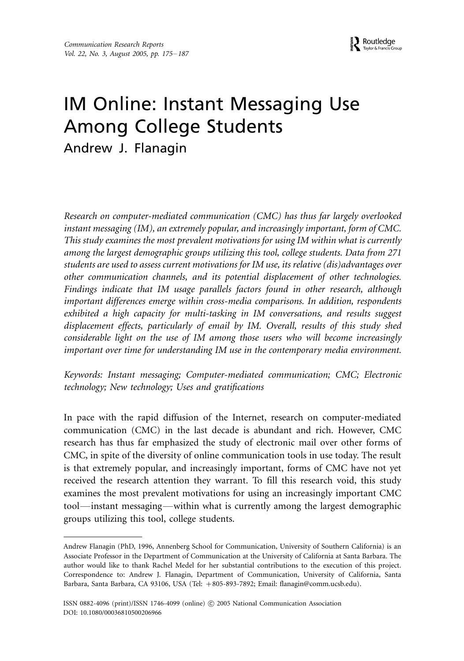# IM Online: Instant Messaging Use Among College Students

Andrew J. Flanagin

Research on computer-mediated communication (CMC) has thus far largely overlooked instant messaging (IM), an extremely popular, and increasingly important, form of CMC. This study examines the most prevalent motivations for using IM within what is currently among the largest demographic groups utilizing this tool, college students. Data from 271 students are used to assess current motivations for IM use, its relative (dis)advantages over other communication channels, and its potential displacement of other technologies. Findings indicate that IM usage parallels factors found in other research, although important differences emerge within cross-media comparisons. In addition, respondents exhibited a high capacity for multi-tasking in IM conversations, and results suggest displacement effects, particularly of email by IM. Overall, results of this study shed considerable light on the use of IM among those users who will become increasingly important over time for understanding IM use in the contemporary media environment.

Keywords: Instant messaging; Computer-mediated communication; CMC; Electronic technology; New technology; Uses and gratifications

In pace with the rapid diffusion of the Internet, research on computer-mediated communication (CMC) in the last decade is abundant and rich. However, CMC research has thus far emphasized the study of electronic mail over other forms of CMC, in spite of the diversity of online communication tools in use today. The result is that extremely popular, and increasingly important, forms of CMC have not yet received the research attention they warrant. To fill this research void, this study examines the most prevalent motivations for using an increasingly important CMC tool—instant messaging—within what is currently among the largest demographic groups utilizing this tool, college students.

Andrew Flanagin (PhD, 1996, Annenberg School for Communication, University of Southern California) is an Associate Professor in the Department of Communication at the University of California at Santa Barbara. The author would like to thank Rachel Medel for her substantial contributions to the execution of this project. Correspondence to: Andrew J. Flanagin, Department of Communication, University of California, Santa Barbara, Santa Barbara, CA 93106, USA (Tel: +805-893-7892; Email: flanagin@comm.ucsb.edu).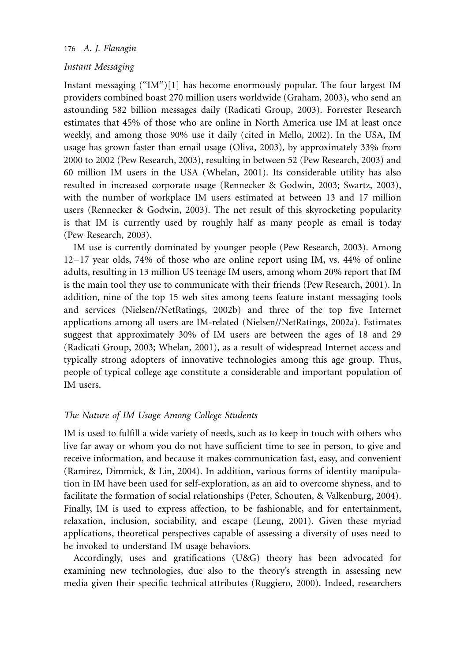## 176 A. J. Flanagin

## Instant Messaging

Instant messaging (''IM'')[1] has become enormously popular. The four largest IM providers combined boast 270 million users worldwide (Graham, 2003), who send an astounding 582 billion messages daily (Radicati Group, 2003). Forrester Research estimates that 45% of those who are online in North America use IM at least once weekly, and among those 90% use it daily (cited in Mello, 2002). In the USA, IM usage has grown faster than email usage (Oliva, 2003), by approximately 33% from 2000 to 2002 (Pew Research, 2003), resulting in between 52 (Pew Research, 2003) and 60 million IM users in the USA (Whelan, 2001). Its considerable utility has also resulted in increased corporate usage (Rennecker & Godwin, 2003; Swartz, 2003), with the number of workplace IM users estimated at between 13 and 17 million users (Rennecker & Godwin, 2003). The net result of this skyrocketing popularity is that IM is currently used by roughly half as many people as email is today (Pew Research, 2003).

IM use is currently dominated by younger people (Pew Research, 2003). Among  $12-17$  year olds, 74% of those who are online report using IM, vs. 44% of online adults, resulting in 13 million US teenage IM users, among whom 20% report that IM is the main tool they use to communicate with their friends (Pew Research, 2001). In addition, nine of the top 15 web sites among teens feature instant messaging tools and services (Nielsen//NetRatings, 2002b) and three of the top five Internet applications among all users are IM-related (Nielsen//NetRatings, 2002a). Estimates suggest that approximately 30% of IM users are between the ages of 18 and 29 (Radicati Group, 2003; Whelan, 2001), as a result of widespread Internet access and typically strong adopters of innovative technologies among this age group. Thus, people of typical college age constitute a considerable and important population of IM users.

## The Nature of IM Usage Among College Students

IM is used to fulfill a wide variety of needs, such as to keep in touch with others who live far away or whom you do not have sufficient time to see in person, to give and receive information, and because it makes communication fast, easy, and convenient (Ramirez, Dimmick, & Lin, 2004). In addition, various forms of identity manipulation in IM have been used for self-exploration, as an aid to overcome shyness, and to facilitate the formation of social relationships (Peter, Schouten, & Valkenburg, 2004). Finally, IM is used to express affection, to be fashionable, and for entertainment, relaxation, inclusion, sociability, and escape (Leung, 2001). Given these myriad applications, theoretical perspectives capable of assessing a diversity of uses need to be invoked to understand IM usage behaviors.

Accordingly, uses and gratifications (U&G) theory has been advocated for examining new technologies, due also to the theory's strength in assessing new media given their specific technical attributes (Ruggiero, 2000). Indeed, researchers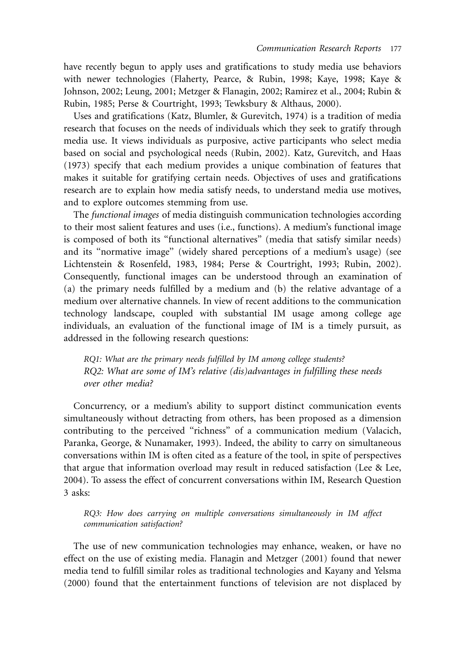have recently begun to apply uses and gratifications to study media use behaviors with newer technologies (Flaherty, Pearce, & Rubin, 1998; Kaye, 1998; Kaye & Johnson, 2002; Leung, 2001; Metzger & Flanagin, 2002; Ramirez et al., 2004; Rubin & Rubin, 1985; Perse & Courtright, 1993; Tewksbury & Althaus, 2000).

Uses and gratifications (Katz, Blumler, & Gurevitch, 1974) is a tradition of media research that focuses on the needs of individuals which they seek to gratify through media use. It views individuals as purposive, active participants who select media based on social and psychological needs (Rubin, 2002). Katz, Gurevitch, and Haas (1973) specify that each medium provides a unique combination of features that makes it suitable for gratifying certain needs. Objectives of uses and gratifications research are to explain how media satisfy needs, to understand media use motives, and to explore outcomes stemming from use.

The functional images of media distinguish communication technologies according to their most salient features and uses (i.e., functions). A medium's functional image is composed of both its ''functional alternatives'' (media that satisfy similar needs) and its ''normative image'' (widely shared perceptions of a medium's usage) (see Lichtenstein & Rosenfeld, 1983, 1984; Perse & Courtright, 1993; Rubin, 2002). Consequently, functional images can be understood through an examination of (a) the primary needs fulfilled by a medium and (b) the relative advantage of a medium over alternative channels. In view of recent additions to the communication technology landscape, coupled with substantial IM usage among college age individuals, an evaluation of the functional image of IM is a timely pursuit, as addressed in the following research questions:

RQ1: What are the primary needs fulfilled by IM among college students? RQ2: What are some of IM's relative (dis)advantages in fulfilling these needs over other media?

Concurrency, or a medium's ability to support distinct communication events simultaneously without detracting from others, has been proposed as a dimension contributing to the perceived ''richness'' of a communication medium (Valacich, Paranka, George, & Nunamaker, 1993). Indeed, the ability to carry on simultaneous conversations within IM is often cited as a feature of the tool, in spite of perspectives that argue that information overload may result in reduced satisfaction (Lee & Lee, 2004). To assess the effect of concurrent conversations within IM, Research Question 3 asks:

RQ3: How does carrying on multiple conversations simultaneously in IM affect communication satisfaction?

The use of new communication technologies may enhance, weaken, or have no effect on the use of existing media. Flanagin and Metzger (2001) found that newer media tend to fulfill similar roles as traditional technologies and Kayany and Yelsma (2000) found that the entertainment functions of television are not displaced by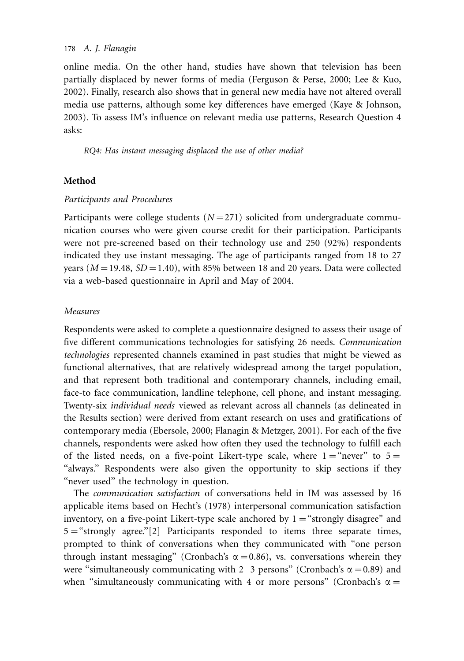#### 178 A. J. Flanagin

online media. On the other hand, studies have shown that television has been partially displaced by newer forms of media (Ferguson & Perse, 2000; Lee & Kuo, 2002). Finally, research also shows that in general new media have not altered overall media use patterns, although some key differences have emerged (Kaye & Johnson, 2003). To assess IM's influence on relevant media use patterns, Research Question 4 asks:

RQ4: Has instant messaging displaced the use of other media?

## Method

#### Participants and Procedures

Participants were college students  $(N=271)$  solicited from undergraduate communication courses who were given course credit for their participation. Participants were not pre-screened based on their technology use and 250 (92%) respondents indicated they use instant messaging. The age of participants ranged from 18 to 27 years ( $M=19.48$ ,  $SD=1.40$ ), with 85% between 18 and 20 years. Data were collected via a web-based questionnaire in April and May of 2004.

## Measures

Respondents were asked to complete a questionnaire designed to assess their usage of five different communications technologies for satisfying 26 needs. Communication technologies represented channels examined in past studies that might be viewed as functional alternatives, that are relatively widespread among the target population, and that represent both traditional and contemporary channels, including email, face-to face communication, landline telephone, cell phone, and instant messaging. Twenty-six individual needs viewed as relevant across all channels (as delineated in the Results section) were derived from extant research on uses and gratifications of contemporary media (Ebersole, 2000; Flanagin & Metzger, 2001). For each of the five channels, respondents were asked how often they used the technology to fulfill each of the listed needs, on a five-point Likert-type scale, where  $1$  = "never" to  $5$  = "always." Respondents were also given the opportunity to skip sections if they "never used" the technology in question.

The communication satisfaction of conversations held in IM was assessed by 16 applicable items based on Hecht's (1978) interpersonal communication satisfaction inventory, on a five-point Likert-type scale anchored by  $1$  = "strongly disagree" and  $5$  = "strongly agree."[2] Participants responded to items three separate times, prompted to think of conversations when they communicated with ''one person through instant messaging" (Cronbach's  $\alpha$  = 0.86), vs. conversations wherein they were "simultaneously communicating with 2-3 persons" (Cronbach's  $\alpha$  = 0.89) and when "simultaneously communicating with 4 or more persons" (Cronbach's  $\alpha$  =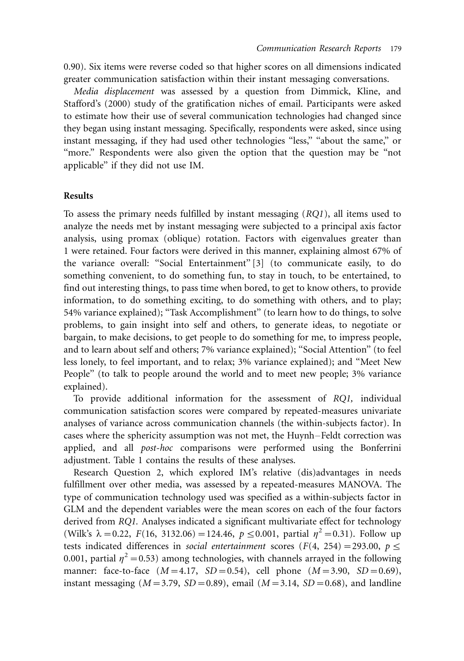0.90). Six items were reverse coded so that higher scores on all dimensions indicated greater communication satisfaction within their instant messaging conversations.

Media displacement was assessed by a question from Dimmick, Kline, and Stafford's (2000) study of the gratification niches of email. Participants were asked to estimate how their use of several communication technologies had changed since they began using instant messaging. Specifically, respondents were asked, since using instant messaging, if they had used other technologies "less," "about the same," or ''more.'' Respondents were also given the option that the question may be ''not applicable'' if they did not use IM.

## Results

To assess the primary needs fulfilled by instant messaging (RQ1), all items used to analyze the needs met by instant messaging were subjected to a principal axis factor analysis, using promax (oblique) rotation. Factors with eigenvalues greater than 1 were retained. Four factors were derived in this manner, explaining almost 67% of the variance overall: ''Social Entertainment'' [3] (to communicate easily, to do something convenient, to do something fun, to stay in touch, to be entertained, to find out interesting things, to pass time when bored, to get to know others, to provide information, to do something exciting, to do something with others, and to play; 54% variance explained); ''Task Accomplishment'' (to learn how to do things, to solve problems, to gain insight into self and others, to generate ideas, to negotiate or bargain, to make decisions, to get people to do something for me, to impress people, and to learn about self and others; 7% variance explained); ''Social Attention'' (to feel less lonely, to feel important, and to relax; 3% variance explained); and ''Meet New People'' (to talk to people around the world and to meet new people; 3% variance explained).

To provide additional information for the assessment of RQ1, individual communication satisfaction scores were compared by repeated-measures univariate analyses of variance across communication channels (the within-subjects factor). In cases where the sphericity assumption was not met, the Huynh–Feldt correction was applied, and all post-hoc comparisons were performed using the Bonferrini adjustment. Table 1 contains the results of these analyses.

Research Question 2, which explored IM's relative (dis)advantages in needs fulfillment over other media, was assessed by a repeated-measures MANOVA. The type of communication technology used was specified as a within-subjects factor in GLM and the dependent variables were the mean scores on each of the four factors derived from RQ1. Analyses indicated a significant multivariate effect for technology (Wilk's  $\lambda = 0.22$ ,  $F(16, 3132.06) = 124.46$ ,  $p \le 0.001$ , partial  $\eta^2 = 0.31$ ). Follow up tests indicated differences in *social entertainment* scores ( $F(4, 254) = 293.00$ ,  $p \le$ 0.001, partial  $\eta^2$  = 0.53) among technologies, with channels arrayed in the following manner: face-to-face  $(M=4.17, SD=0.54)$ , cell phone  $(M=3.90, SD=0.69)$ , instant messaging ( $M=3.79$ ,  $SD=0.89$ ), email ( $M=3.14$ ,  $SD=0.68$ ), and landline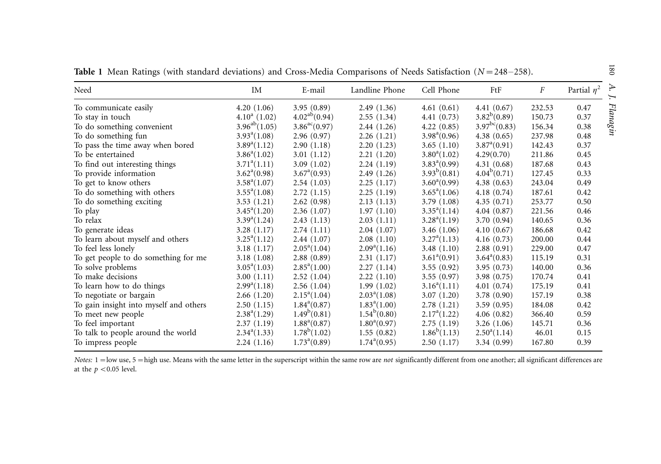| Need                                   | IM                   | E-mail                | Landline Phone       | Cell Phone           | FtF                  | F      | Partial $\eta^2$ |
|----------------------------------------|----------------------|-----------------------|----------------------|----------------------|----------------------|--------|------------------|
| To communicate easily                  | 4.20(1.06)           | 3.95(0.89)            | 2.49(1.36)           | 4.61(0.61)           | 4.41(0.67)           | 232.53 | 0.47             |
| To stay in touch                       | $4.10a$ (1.02)       | $4.02^{ab}(0.94)$     | 2.55(1.34)           | 4.41(0.73)           | $3.82^b(0.89)$       | 150.73 | 0.37             |
| To do something convenient             | $3.96^{ab}(1.05)$    | $3.86^{\rm ac}(0.97)$ | 2.44(1.26)           | 4.22(0.85)           | $3.97^{bc} (0.83)$   | 156.34 | 0.38             |
| To do something fun                    | $3.93^{\rm a}(1.08)$ | 2.96(0.97)            | 2.26(1.21)           | $3.98^{\rm a}(0.96)$ | 4.38(0.65)           | 237.98 | 0.48             |
| To pass the time away when bored       | $3.89^{\circ}(1.12)$ | 2.90(1.18)            | 2.20(1.23)           | 3.65(1.10)           | $3.87^{\rm a}(0.91)$ | 142.43 | 0.37             |
| To be entertained                      | $3.86^{\rm a}(1.02)$ | 3.01(1.12)            | 2.21(1.20)           | $3.80^{\rm a}(1.02)$ | 4.29(0.70)           | 211.86 | 0.45             |
| To find out interesting things         | $3.71^a(1.11)$       | 3.09(1.02)            | 2.24(1.19)           | $3.83^{\rm a}(0.99)$ | 4.31(0.68)           | 187.68 | 0.43             |
| To provide information                 | $3.62^{\rm a}(0.98)$ | $3.67^{\rm a}(0.93)$  | 2.49(1.26)           | $3.93^{b}(0.81)$     | $4.04^b(0.71)$       | 127.45 | 0.33             |
| To get to know others                  | $3.58^{\rm a}(1.07)$ | 2.54(1.03)            | 2.25(1.17)           | $3.60^a(0.99)$       | 4.38(0.63)           | 243.04 | 0.49             |
| To do something with others            | $3.55^{\rm a}(1.08)$ | 2.72(1.15)            | 2.25(1.19)           | $3.65^{\circ}(1.06)$ | 4.18(0.74)           | 187.61 | 0.42             |
| To do something exciting               | 3.53(1.21)           | 2.62(0.98)            | 2.13(1.13)           | 3.79(1.08)           | 4.35(0.71)           | 253.77 | 0.50             |
| To play                                | $3.45^{\rm a}(1.20)$ | 2.36(1.07)            | 1.97(1.10)           | $3.35^{\circ}(1.14)$ | 4.04(0.87)           | 221.56 | 0.46             |
| To relax                               | $3.39^{\rm a}(1.24)$ | 2.43(1.13)            | 2.03(1.11)           | $3.28^{\rm a}(1.19)$ | 3.70(0.94)           | 140.65 | 0.36             |
| To generate ideas                      | 3.28(1.17)           | 2.74(1.11)            | 2.04(1.07)           | 3.46(1.06)           | 4.10(0.67)           | 186.68 | 0.42             |
| To learn about myself and others       | $3.25^a(1.12)$       | 2.44(1.07)            | 2.08(1.10)           | $3.27^{\rm a}(1.13)$ | 4.16(0.73)           | 200.00 | 0.44             |
| To feel less lonely                    | 3.18(1.17)           | $2.05^{\rm a}(1.04)$  | $2.09^{\circ}(1.16)$ | 3.48(1.10)           | 2.88(0.91)           | 229.00 | 0.47             |
| To get people to do something for me   | 3.18(1.08)           | 2.88(0.89)            | 2.31(1.17)           | $3.61^{\circ}(0.91)$ | $3.64^{\rm a}(0.83)$ | 115.19 | 0.31             |
| To solve problems                      | $3.05^{\rm a}(1.03)$ | $2.85^{\circ}(1.00)$  | 2.27(1.14)           | 3.55(0.92)           | 3.95(0.73)           | 140.00 | 0.36             |
| To make decisions                      | 3.00(1.11)           | 2.52(1.04)            | 2.22(1.10)           | 3.55(0.97)           | 3.98(0.75)           | 170.74 | 0.41             |
| To learn how to do things              | $2.99^{\rm a}(1.18)$ | 2.56(1.04)            | 1.99(1.02)           | $3.16^a(1.11)$       | 4.01(0.74)           | 175.19 | 0.41             |
| To negotiate or bargain                | 2.66(1.20)           | $2.15^a(1.04)$        | $2.03^{\rm a}(1.08)$ | 3.07(1.20)           | 3.78(0.90)           | 157.19 | 0.38             |
| To gain insight into myself and others | 2.50(1.15)           | $1.84^{\rm a}(0.87)$  | $1.83^{\rm a}(1.00)$ | 2.78(1.21)           | 3.59(0.95)           | 184.08 | 0.42             |
| To meet new people                     | $2.38^{\rm a}(1.29)$ | $1.49^b(0.81)$        | $1.54^b(0.80)$       | $2.17^a(1.22)$       | 4.06(0.82)           | 366.40 | 0.59             |
| To feel important                      | 2.37(1.19)           | $1.88^a(0.87)$        | $1.80^{\rm a}(0.97)$ | 2.75(1.19)           | 3.26(1.06)           | 145.71 | 0.36             |
| To talk to people around the world     | $2.34^{\rm a}(1.33)$ | $1.78^b(1.02)$        | 1.55(0.82)           | $1.86^b(1.13)$       | $2.50^a(1.14)$       | 46.01  | 0.15             |
| To impress people                      | 2.24(1.16)           | $1.73^{\rm a}(0.89)$  | $1.74^{\rm a}(0.95)$ | 2.50(1.17)           | 3.34 (0.99)          | 167.80 | 0.39             |

Table 1 Mean Ratings (with standard deviations) and Cross-Media Comparisons of Needs Satisfaction (N=248–258).

Notes: 1 = low use, 5 = high use. Means with the same letter in the superscript within the same row are not significantly different from one another; all significant differences are at the  $p <$  0.05 level.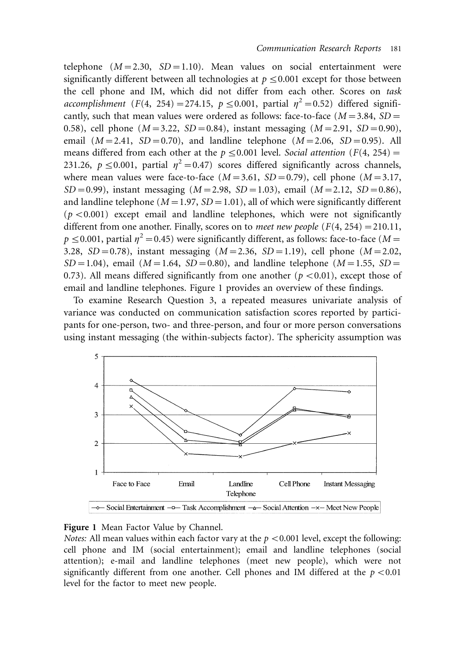telephone  $(M=2.30, SD=1.10)$ . Mean values on social entertainment were significantly different between all technologies at  $p \le 0.001$  except for those between the cell phone and IM, which did not differ from each other. Scores on task accomplishment (F(4, 254) = 274.15,  $p \le 0.001$ , partial  $\eta^2 = 0.52$ ) differed significantly, such that mean values were ordered as follows: face-to-face ( $M=3.84$ ,  $SD=$ 0.58), cell phone  $(M=3.22, SD=0.84)$ , instant messaging  $(M=2.91, SD=0.90)$ , email  $(M=2.41, SD=0.70)$ , and landline telephone  $(M=2.06, SD=0.95)$ . All means differed from each other at the  $p \le 0.001$  level. Social attention (F(4, 254) = 231.26,  $p \le 0.001$ , partial  $\eta^2 = 0.47$ ) scores differed significantly across channels, where mean values were face-to-face  $(M=3.61, SD=0.79)$ , cell phone  $(M=3.17,$  $SD = 0.99$ ), instant messaging ( $M = 2.98$ ,  $SD = 1.03$ ), email ( $M = 2.12$ ,  $SD = 0.86$ ), and landline telephone ( $M=1.97$ ,  $SD=1.01$ ), all of which were significantly different  $(p < 0.001)$  except email and landline telephones, which were not significantly different from one another. Finally, scores on to *meet new people* ( $F(4, 254) = 210.11$ ,  $p \leq 0.001$ , partial  $\eta^2 = 0.45$ ) were significantly different, as follows: face-to-face (M = 3.28,  $SD = 0.78$ ), instant messaging ( $M = 2.36$ ,  $SD = 1.19$ ), cell phone ( $M = 2.02$ ,  $SD = 1.04$ ), email (M = 1.64, SD = 0.80), and landline telephone (M = 1.55, SD = 0.73). All means differed significantly from one another ( $p < 0.01$ ), except those of email and landline telephones. Figure 1 provides an overview of these findings.

To examine Research Question 3, a repeated measures univariate analysis of variance was conducted on communication satisfaction scores reported by participants for one-person, two- and three-person, and four or more person conversations using instant messaging (the within-subjects factor). The sphericity assumption was



## Figure 1 Mean Factor Value by Channel.

*Notes:* All mean values within each factor vary at the  $p < 0.001$  level, except the following: cell phone and IM (social entertainment); email and landline telephones (social attention); e-mail and landline telephones (meet new people), which were not significantly different from one another. Cell phones and IM differed at the  $p < 0.01$ level for the factor to meet new people.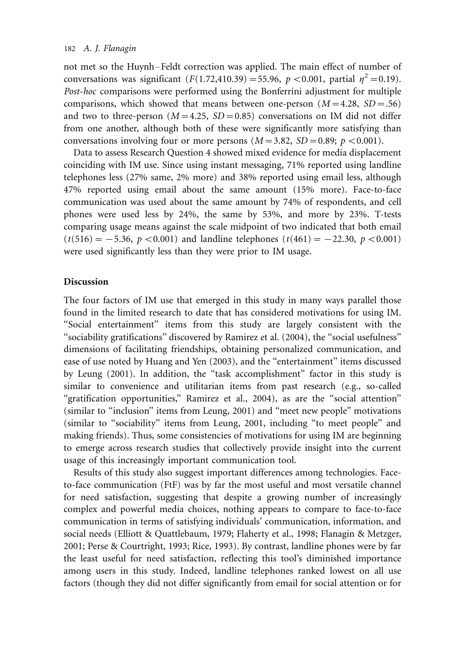#### 182 A. J. Flanagin

not met so the Huynh-Feldt correction was applied. The main effect of number of conversations was significant  $(F(1.72, 410.39) = 55.96, p < 0.001$ , partial  $\eta^2 = 0.19$ ). Post-hoc comparisons were performed using the Bonferrini adjustment for multiple comparisons, which showed that means between one-person  $(M=4.28, SD=.56)$ and two to three-person ( $M=4.25$ ,  $SD=0.85$ ) conversations on IM did not differ from one another, although both of these were significantly more satisfying than conversations involving four or more persons  $(M=3.82, SD=0.89; p < 0.001)$ .

Data to assess Research Question 4 showed mixed evidence for media displacement coinciding with IM use. Since using instant messaging, 71% reported using landline telephones less (27% same, 2% more) and 38% reported using email less, although 47% reported using email about the same amount (15% more). Face-to-face communication was used about the same amount by 74% of respondents, and cell phones were used less by 24%, the same by 53%, and more by 23%. T-tests comparing usage means against the scale midpoint of two indicated that both email  $(t(516) = -5.36, p < 0.001)$  and landline telephones  $(t(461) = -22.30, p < 0.001)$ were used significantly less than they were prior to IM usage.

## Discussion

The four factors of IM use that emerged in this study in many ways parallel those found in the limited research to date that has considered motivations for using IM. ''Social entertainment'' items from this study are largely consistent with the ''sociability gratifications'' discovered by Ramirez et al. (2004), the ''social usefulness'' dimensions of facilitating friendships, obtaining personalized communication, and ease of use noted by Huang and Yen (2003), and the ''entertainment'' items discussed by Leung (2001). In addition, the "task accomplishment" factor in this study is similar to convenience and utilitarian items from past research (e.g., so-called "gratification opportunities," Ramirez et al., 2004), as are the "social attention" (similar to ''inclusion'' items from Leung, 2001) and ''meet new people'' motivations (similar to ''sociability'' items from Leung, 2001, including ''to meet people'' and making friends). Thus, some consistencies of motivations for using IM are beginning to emerge across research studies that collectively provide insight into the current usage of this increasingly important communication tool.

Results of this study also suggest important differences among technologies. Faceto-face communication (FtF) was by far the most useful and most versatile channel for need satisfaction, suggesting that despite a growing number of increasingly complex and powerful media choices, nothing appears to compare to face-to-face communication in terms of satisfying individuals' communication, information, and social needs (Elliott & Quattlebaum, 1979; Flaherty et al., 1998; Flanagin & Metzger, 2001; Perse & Courtright, 1993; Rice, 1993). By contrast, landline phones were by far the least useful for need satisfaction, reflecting this tool's diminished importance among users in this study. Indeed, landline telephones ranked lowest on all use factors (though they did not differ significantly from email for social attention or for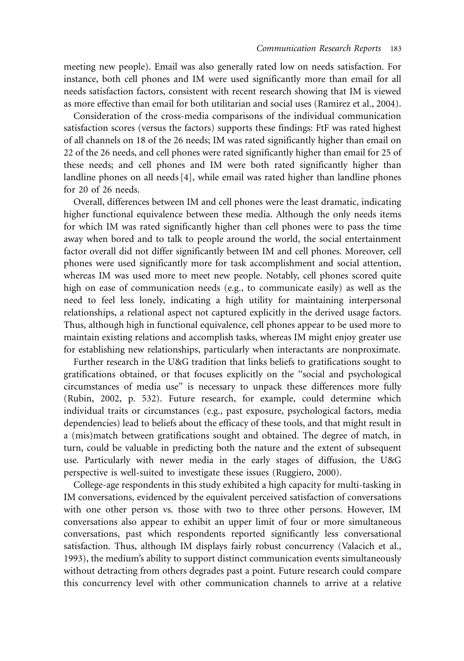meeting new people). Email was also generally rated low on needs satisfaction. For instance, both cell phones and IM were used significantly more than email for all needs satisfaction factors, consistent with recent research showing that IM is viewed as more effective than email for both utilitarian and social uses (Ramirez et al., 2004).

Consideration of the cross-media comparisons of the individual communication satisfaction scores (versus the factors) supports these findings: FtF was rated highest of all channels on 18 of the 26 needs; IM was rated significantly higher than email on 22 of the 26 needs, and cell phones were rated significantly higher than email for 25 of these needs; and cell phones and IM were both rated significantly higher than landline phones on all needs [4], while email was rated higher than landline phones for 20 of 26 needs.

Overall, differences between IM and cell phones were the least dramatic, indicating higher functional equivalence between these media. Although the only needs items for which IM was rated significantly higher than cell phones were to pass the time away when bored and to talk to people around the world, the social entertainment factor overall did not differ significantly between IM and cell phones. Moreover, cell phones were used significantly more for task accomplishment and social attention, whereas IM was used more to meet new people. Notably, cell phones scored quite high on ease of communication needs (e.g., to communicate easily) as well as the need to feel less lonely, indicating a high utility for maintaining interpersonal relationships, a relational aspect not captured explicitly in the derived usage factors. Thus, although high in functional equivalence, cell phones appear to be used more to maintain existing relations and accomplish tasks, whereas IM might enjoy greater use for establishing new relationships, particularly when interactants are nonproximate.

Further research in the U&G tradition that links beliefs to gratifications sought to gratifications obtained, or that focuses explicitly on the ''social and psychological circumstances of media use'' is necessary to unpack these differences more fully (Rubin, 2002, p. 532). Future research, for example, could determine which individual traits or circumstances (e.g., past exposure, psychological factors, media dependencies) lead to beliefs about the efficacy of these tools, and that might result in a (mis)match between gratifications sought and obtained. The degree of match, in turn, could be valuable in predicting both the nature and the extent of subsequent use. Particularly with newer media in the early stages of diffusion, the U&G perspective is well-suited to investigate these issues (Ruggiero, 2000).

College-age respondents in this study exhibited a high capacity for multi-tasking in IM conversations, evidenced by the equivalent perceived satisfaction of conversations with one other person vs. those with two to three other persons. However, IM conversations also appear to exhibit an upper limit of four or more simultaneous conversations, past which respondents reported significantly less conversational satisfaction. Thus, although IM displays fairly robust concurrency (Valacich et al., 1993), the medium's ability to support distinct communication events simultaneously without detracting from others degrades past a point. Future research could compare this concurrency level with other communication channels to arrive at a relative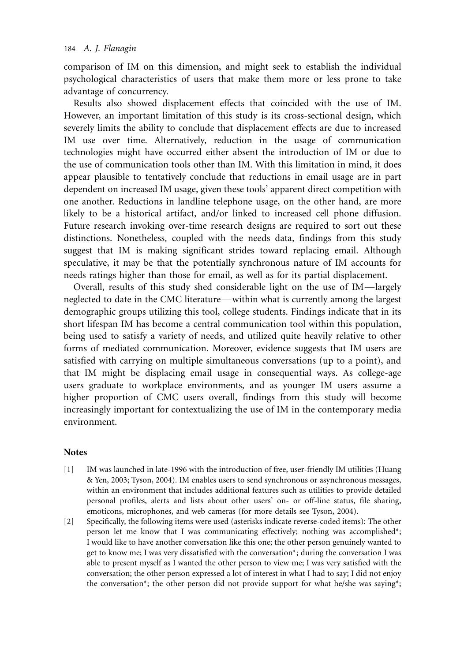comparison of IM on this dimension, and might seek to establish the individual psychological characteristics of users that make them more or less prone to take advantage of concurrency.

Results also showed displacement effects that coincided with the use of IM. However, an important limitation of this study is its cross-sectional design, which severely limits the ability to conclude that displacement effects are due to increased IM use over time. Alternatively, reduction in the usage of communication technologies might have occurred either absent the introduction of IM or due to the use of communication tools other than IM. With this limitation in mind, it does appear plausible to tentatively conclude that reductions in email usage are in part dependent on increased IM usage, given these tools' apparent direct competition with one another. Reductions in landline telephone usage, on the other hand, are more likely to be a historical artifact, and/or linked to increased cell phone diffusion. Future research invoking over-time research designs are required to sort out these distinctions. Nonetheless, coupled with the needs data, findings from this study suggest that IM is making significant strides toward replacing email. Although speculative, it may be that the potentially synchronous nature of IM accounts for needs ratings higher than those for email, as well as for its partial displacement.

Overall, results of this study shed considerable light on the use of IM-largely neglected to date in the CMC literature—within what is currently among the largest demographic groups utilizing this tool, college students. Findings indicate that in its short lifespan IM has become a central communication tool within this population, being used to satisfy a variety of needs, and utilized quite heavily relative to other forms of mediated communication. Moreover, evidence suggests that IM users are satisfied with carrying on multiple simultaneous conversations (up to a point), and that IM might be displacing email usage in consequential ways. As college-age users graduate to workplace environments, and as younger IM users assume a higher proportion of CMC users overall, findings from this study will become increasingly important for contextualizing the use of IM in the contemporary media environment.

#### **Notes**

- [1] IM was launched in late-1996 with the introduction of free, user-friendly IM utilities (Huang & Yen, 2003; Tyson, 2004). IM enables users to send synchronous or asynchronous messages, within an environment that includes additional features such as utilities to provide detailed personal profiles, alerts and lists about other users' on- or off-line status, file sharing, emoticons, microphones, and web cameras (for more details see Tyson, 2004).
- [2] Specifically, the following items were used (asterisks indicate reverse-coded items): The other person let me know that I was communicating effectively; nothing was accomplished\*; I would like to have another conversation like this one; the other person genuinely wanted to get to know me; I was very dissatisfied with the conversation\*; during the conversation I was able to present myself as I wanted the other person to view me; I was very satisfied with the conversation; the other person expressed a lot of interest in what I had to say; I did not enjoy the conversation\*; the other person did not provide support for what he/she was saying\*;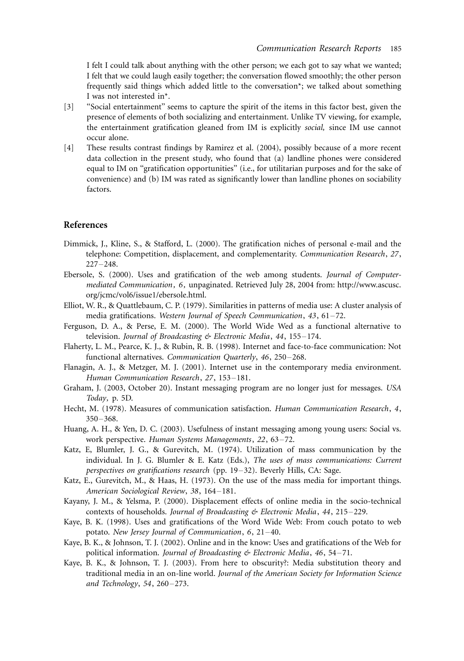I felt I could talk about anything with the other person; we each got to say what we wanted; I felt that we could laugh easily together; the conversation flowed smoothly; the other person frequently said things which added little to the conversation\*; we talked about something I was not interested in\*.

- [3] ''Social entertainment'' seems to capture the spirit of the items in this factor best, given the presence of elements of both socializing and entertainment. Unlike TV viewing, for example, the entertainment gratification gleaned from IM is explicitly social, since IM use cannot occur alone.
- [4] These results contrast findings by Ramirez et al. (2004), possibly because of a more recent data collection in the present study, who found that (a) landline phones were considered equal to IM on ''gratification opportunities'' (i.e., for utilitarian purposes and for the sake of convenience) and (b) IM was rated as significantly lower than landline phones on sociability factors.

### References

- Dimmick, J., Kline, S., & Stafford, L. (2000). The gratification niches of personal e-mail and the telephone: Competition, displacement, and complementarity. Communication Research, 27,  $227 - 248.$
- Ebersole, S. (2000). Uses and gratification of the web among students. Journal of Computermediated Communication, 6, unpaginated. Retrieved July 28, 2004 from: http://www.ascusc. org/jcmc/vol6/issue1/ebersole.html.
- Elliot, W. R., & Quattlebaum, C. P. (1979). Similarities in patterns of media use: A cluster analysis of media gratifications. Western Journal of Speech Communication, 43, 61-72.
- Ferguson, D. A., & Perse, E. M. (2000). The World Wide Wed as a functional alternative to television. Journal of Broadcasting & Electronic Media, 44, 155-174.
- Flaherty, L. M., Pearce, K. J., & Rubin, R. B. (1998). Internet and face-to-face communication: Not functional alternatives. Communication Quarterly, 46, 250-268.
- Flanagin, A. J., & Metzger, M. J. (2001). Internet use in the contemporary media environment. Human Communication Research, 27, 153-181.
- Graham, J. (2003, October 20). Instant messaging program are no longer just for messages. USA Today, p. 5D.
- Hecht, M. (1978). Measures of communication satisfaction. Human Communication Research, 4,  $350 - 368.$
- Huang, A. H., & Yen, D. C. (2003). Usefulness of instant messaging among young users: Social vs. work perspective. Human Systems Managements, 22, 63-72.
- Katz, E, Blumler, J. G., & Gurevitch, M. (1974). Utilization of mass communication by the individual. In J. G. Blumler & E. Katz (Eds.), The uses of mass communications: Current perspectives on gratifications research (pp. 19-32). Beverly Hills, CA: Sage.
- Katz, E., Gurevitch, M., & Haas, H. (1973). On the use of the mass media for important things. American Sociological Review, 38, 164-181.
- Kayany, J. M., & Yelsma, P. (2000). Displacement effects of online media in the socio-technical contexts of households. Journal of Broadcasting  $\&$  Electronic Media, 44, 215–229.
- Kaye, B. K. (1998). Uses and gratifications of the Word Wide Web: From couch potato to web potato. New Jersey Journal of Communication,  $6$ ,  $21-40$ .
- Kaye, B. K., & Johnson, T. J. (2002). Online and in the know: Uses and gratifications of the Web for political information. Journal of Broadcasting  $\&$  Electronic Media, 46, 54-71.
- Kaye, B. K., & Johnson, T. J. (2003). From here to obscurity?: Media substitution theory and traditional media in an on-line world. Journal of the American Society for Information Science and Technology, 54,  $260-273$ .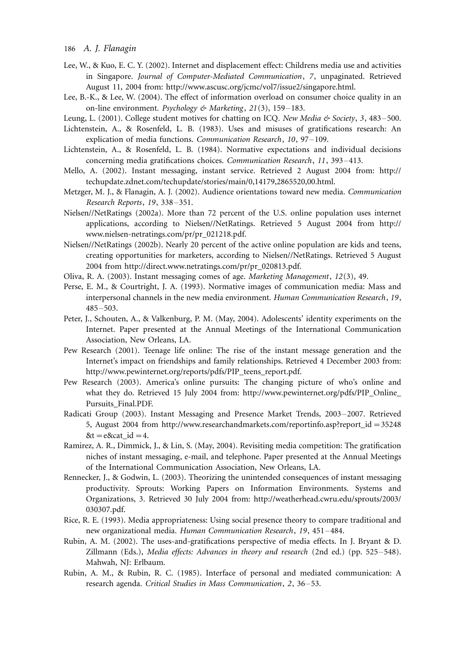- 186 A. J. Flanagin
- Lee, W., & Kuo, E. C. Y. (2002). Internet and displacement effect: Childrens media use and activities in Singapore. Journal of Computer-Mediated Communication, 7, unpaginated. Retrieved August 11, 2004 from: http://www.ascusc.org/jcmc/vol7/issue2/singapore.html.
- Lee, B.-K., & Lee, W. (2004). The effect of information overload on consumer choice quality in an on-line environment. Psychology & Marketing, 21(3), 159–183.
- Leung, L. (2001). College student motives for chatting on ICQ. New Media  $\&$  Society, 3, 483–500.
- Lichtenstein, A., & Rosenfeld, L. B. (1983). Uses and misuses of gratifications research: An explication of media functions. Communication Research, 10, 97-109.
- Lichtenstein, A., & Rosenfeld, L. B. (1984). Normative expectations and individual decisions concerning media gratifications choices. Communication Research, 11, 393-413.
- Mello, A. (2002). Instant messaging, instant service. Retrieved 2 August 2004 from: http:// techupdate.zdnet.com/techupdate/stories/main/0,14179,2865520,00.html.
- Metzger, M. J., & Flanagin, A. J. (2002). Audience orientations toward new media. Communication Research Reports, 19, 338-351.
- Nielsen//NetRatings (2002a). More than 72 percent of the U.S. online population uses internet applications, according to Nielsen//NetRatings. Retrieved 5 August 2004 from http:// www.nielsen-netratings.com/pr/pr\_021218.pdf.
- Nielsen//NetRatings (2002b). Nearly 20 percent of the active online population are kids and teens, creating opportunities for marketers, according to Nielsen//NetRatings. Retrieved 5 August 2004 from http://direct.www.netratings.com/pr/pr\_020813.pdf.
- Oliva, R. A. (2003). Instant messaging comes of age. Marketing Management, 12(3), 49.
- Perse, E. M., & Courtright, J. A. (1993). Normative images of communication media: Mass and interpersonal channels in the new media environment. Human Communication Research, 19,  $485 - 503$ .
- Peter, J., Schouten, A., & Valkenburg, P. M. (May, 2004). Adolescents' identity experiments on the Internet. Paper presented at the Annual Meetings of the International Communication Association, New Orleans, LA.
- Pew Research (2001). Teenage life online: The rise of the instant message generation and the Internet's impact on friendships and family relationships. Retrieved 4 December 2003 from: http://www.pewinternet.org/reports/pdfs/PIP\_teens\_report.pdf.
- Pew Research (2003). America's online pursuits: The changing picture of who's online and what they do. Retrieved 15 July 2004 from: http://www.pewinternet.org/pdfs/PIP\_Online\_ Pursuits\_Final.PDF.
- Radicati Group (2003). Instant Messaging and Presence Market Trends, 2003-2007. Retrieved 5, August 2004 from http://www.researchandmarkets.com/reportinfo.asp?report\_id/35248  $&z = e\&cat$  id = 4.
- Ramirez, A. R., Dimmick, J., & Lin, S. (May, 2004). Revisiting media competition: The gratification niches of instant messaging, e-mail, and telephone. Paper presented at the Annual Meetings of the International Communication Association, New Orleans, LA.
- Rennecker, J., & Godwin, L. (2003). Theorizing the unintended consequences of instant messaging productivity. Sprouts: Working Papers on Information Environments. Systems and Organizations, 3. Retrieved 30 July 2004 from: http://weatherhead.cwru.edu/sprouts/2003/ 030307.pdf.
- Rice, R. E. (1993). Media appropriateness: Using social presence theory to compare traditional and new organizational media. Human Communication Research, 19, 451-484.
- Rubin, A. M. (2002). The uses-and-gratifications perspective of media effects. In J. Bryant & D. Zillmann (Eds.), Media effects: Advances in theory and research (2nd ed.) (pp. 525-548). Mahwah, NJ: Erlbaum.
- Rubin, A. M., & Rubin, R. C. (1985). Interface of personal and mediated communication: A research agenda. Critical Studies in Mass Communication, 2, 36-53.